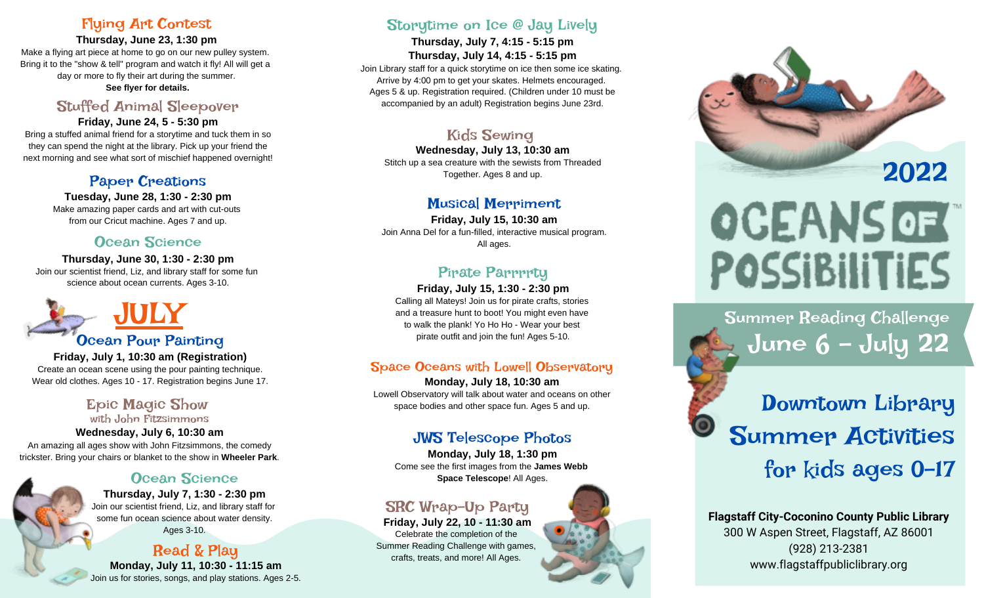#### Flying Art Contest

**Thursday, June 23, 1:30 pm** Make a flying art piece at home to go on our new pulley system. Bring it to the "show & tell" program and watch it fly! All will get a day or more to fly their art during the summer. **See flyer for details.**

#### Stuffed Animal Sleepover

**Friday, June 24, 5 - 5:30 pm** Bring a stuffed animal friend for a storytime and tuck them in so they can spend the night at the library. Pick up your friend the next morning and see what sort of mischief happened overnight!

#### Paper Creations

**Tuesday, June 28, 1:30 - 2:30 pm** Make amazing paper cards and art with cut-outs from our Cricut machine. Ages 7 and up.

#### Ocean Science

**Thursday, June 30, 1:30 - 2:30 pm** Join our scientist friend, Liz, and library staff for some fun science about ocean currents. Ages 3-10.



# Ocean Pour Painting

**Friday, July 1, 10:30 am (Registration)** Create an ocean scene using the pour painting technique. Wear old clothes. Ages 10 - 17. Registration begins June 17.

#### Epic Magic Show with John Fitzsimmons

**Wednesday, July 6, 10:30 am** An amazing all ages show with John Fitzsimmons, the comedy trickster. Bring your chairs or blanket to the show in **Wheeler Park**.

#### Ocean Science

**Thursday, July 7, 1:30 - 2:30 pm** Join our scientist friend, Liz, and library staff for some fun ocean science about water density. Ages 3-10.

#### Read & Play **Monday, July 11, 10:30 - 11:15 am** Join us for stories, songs, and play stations. Ages 2-5.

#### Storytime on Ice @ Jay Lively

**Thursday, July 7, 4:15 - 5:15 pm Thursday, July 14, 4:15 - 5:15 pm**

Join Library staff for a quick storytime on ice then some ice skating. Arrive by 4:00 pm to get your skates. Helmets encouraged. Ages 5 & up. Registration required. (Children under 10 must be accompanied by an adult) Registration begins June 23rd.

### Kids Sewing

**Wednesday, July 13, 10:30 am** Stitch up a sea creature with the sewists from Threaded Together. Ages 8 and up.

#### Musical Merriment

**Friday, July 15, 10:30 am** Join Anna Del for a fun-filled, interactive musical program. All ages.

### Pirate Parrrrty

#### **Friday, July 15, 1:30 - 2:30 pm**

Calling all Mateys! Join us for pirate crafts, stories and a treasure hunt to boot! You might even have to walk the plank! Yo Ho Ho - Wear your best pirate outfit and join the fun! Ages 5-10.

#### Space Oceans with Lowell Observatory

**Monday, July 18, 10:30 am** Lowell Observatory will talk about water and oceans on other space bodies and other space fun. Ages 5 and up.

#### JWS Telescope Photos

**Monday, July 18, 1:30 pm** Come see the first images from the **James Webb Space Telescope**! All Ages.

# SRC Wrap-Up Party

**Friday, July 22, 10 - 11:30 am** Celebrate the completion of the Summer Reading Challenge with games, crafts, treats, and more! All Ages.





# **OCEANS OF POSSIBILITIES**

Summer Reading Challenge June 6 - July 22

Downtown Library Summer Activities for kids ages 0-17

**Flagstaff City-Coconino County Public Library** 300 W Aspen Street, Flagstaff, AZ 86001 (928) 213-2381 www.flagstaffpubliclibrary.org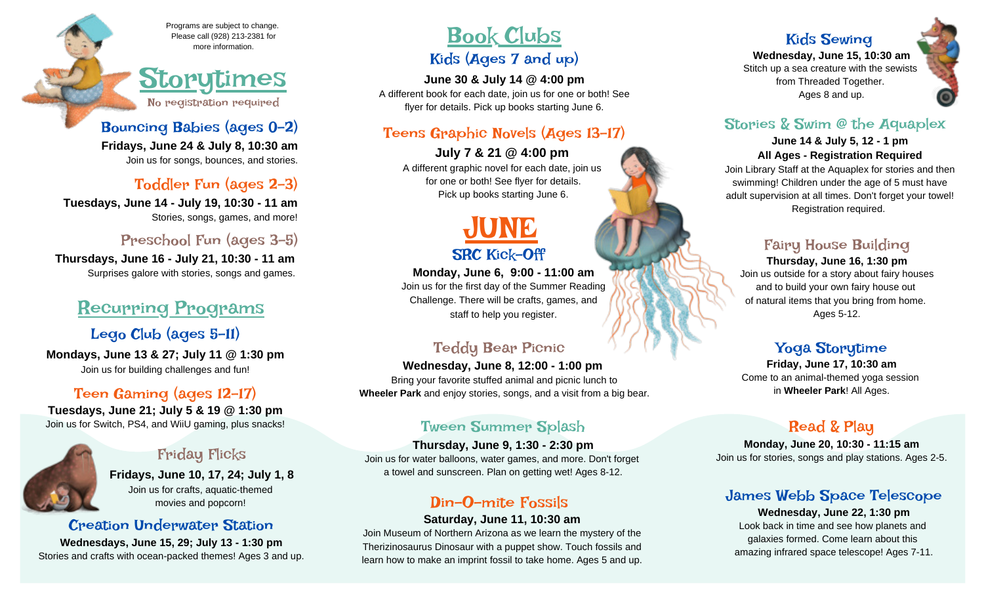Programs are subject to change. Please call (928) 213-2381 for more information.

# Storytimes No registration required

Bouncing Babies (ages 0-2) **Fridays, June 24 & July 8, 10:30 am** Join us for songs, bounces, and stories.

#### Toddler Fun (ages 2-3)

**Tuesdays, June 14 - July 19, 10:30 - 11 am** Stories, songs, games, and more!

#### Preschool Fun (ages 3-5)

**Thursdays, June 16 - July 21, 10:30 - 11 am**  Surprises galore with stories, songs and games.

# Recurring Programs

#### Lego Club (ages 5-11)

**Mondays, June 13 & 27; July 11 @ 1:30 pm** Join us for building challenges and fun!

#### Teen Gaming (ages 12-17)

**Tuesdays, June 21; July 5 & 19 @ 1:30 pm** Join us for Switch, PS4, and WiiU gaming, plus snacks!

#### Friday Flicks

**Fridays, June 10, 17, 24; July 1, 8** Join us for crafts, aquatic-themed movies and popcorn!

#### Creation Underwater Station

**Wednesdays, June 15, 29; July 13 - 1:30 pm** Stories and crafts with ocean-packed themes! Ages 3 and up.

# Book Clubs

#### Kids (Ages 7 and up)

**June 30 & July 14 @ 4:00 pm** A different book for each date, join us for one or both! See flyer for details. Pick up books starting June 6.

#### Teens Graphic Novels (Ages 13-17)

**July 7 & 21 @ 4:00 pm** A different graphic novel for each date, join us for one or both! See flyer for details. Pick up books starting June 6.



**Monday, June 6, 9:00 - 11:00 am** Join us for the first day of the Summer Reading Challenge. There will be crafts, games, and staff to help you register.

### Teddy Bear Picnic

**Wednesday, June 8, 12:00 - 1:00 pm**  Bring your favorite stuffed animal and picnic lunch to  **Wheeler Park** and enjoy stories, songs, and a visit from a big bear.

#### Tween Summer Splash

**Thursday, June 9, 1:30 - 2:30 pm** Join us for water balloons, water games, and more. Don't forget a towel and sunscreen. Plan on getting wet! Ages 8-12.

### Din-O-mite Fossils

#### **Saturday, June 11, 10:30 am**

Join Museum of Northern Arizona as we learn the mystery of the Therizinosaurus Dinosaur with a puppet show. Touch fossils and learn how to make an imprint fossil to take home. Ages 5 and up.

# Kids Sewing

**Wednesday, June 15, 10:30 am** Stitch up a sea creature with the sewists from Threaded Together. Ages 8 and up.

#### Stories & Swim @ the Aquaplex

#### **June 14 & July 5, 12 - 1 pm All Ages - Registration Required**

Join Library Staff at the Aquaplex for stories and then swimming! Children under the age of 5 must have adult supervision at all times. Don't forget your towel! Registration required.

#### Fairy House Building

#### **Thursday, June 16, 1:30 pm** Join us outside for a story about fairy houses and to build your own fairy house out of natural items that you bring from home. Ages 5-12.

#### Yoga Storytime

**Friday, June 17, 10:30 am** Come to an animal-themed yoga session in **Wheeler Park**! All Ages.

### Read & Play

**Monday, June 20, 10:30 - 11:15 am** Join us for stories, songs and play stations. Ages 2-5.

#### James Webb Space Telescope

**Wednesday, June 22, 1:30 pm** Look back in time and see how planets and galaxies formed. Come learn about this amazing infrared space telescope! Ages 7-11.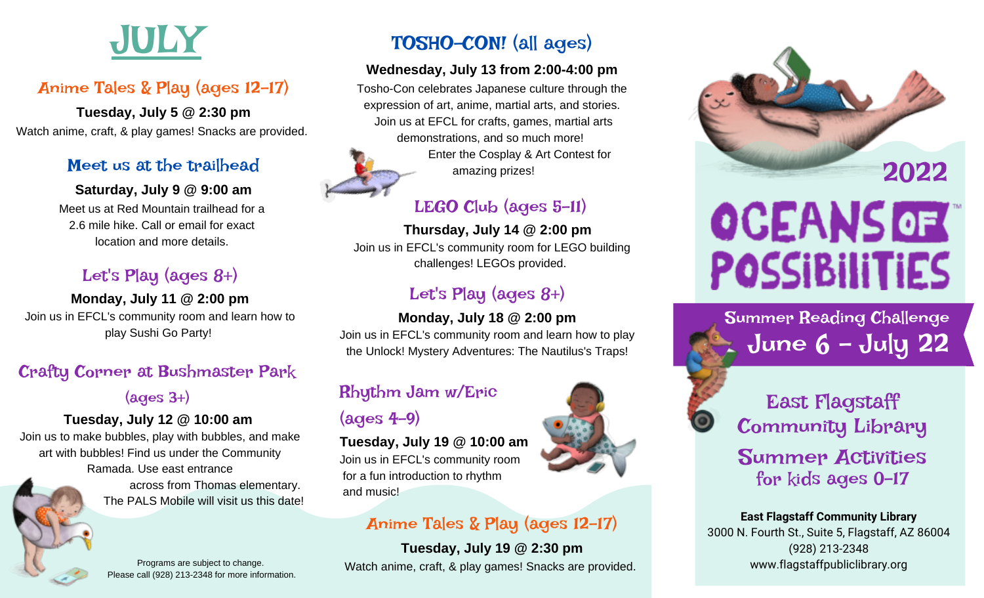

# Anime Tales & Play (ages 12-17)

**Tuesday, July 5 @ 2:30 pm** Watch anime, craft, & play games! Snacks are provided.

#### Meet us at the trailhead

#### **Saturday, July 9 @ 9:00 am**

Meet us at Red Mountain trailhead for a 2.6 mile hike. Call or email for exact location and more details.

# Let's Play (ages 8+)

**Monday, July 11 @ 2:00 pm** Join us in EFCL's community room and learn how to play Sushi Go Party!

# Crafty Corner at Bushmaster Park

(ages 3+)

### **Tuesday, July 12 @ 10:00 am**

Join us to make bubbles, play with bubbles, and make art with bubbles! Find us under the Community Ramada. Use east entrance

 across from Thomas elementary. The PALS Mobile will visit us this date!

Please call (928) 213-2348 for more information.

# TOSHO-CON! (all ages)

#### **Wednesday, July 13 from 2:00-4:00 pm**

Tosho-Con celebrates Japanese culture through the expression of art, anime, martial arts, and stories. Join us at EFCL for crafts, games, martial arts demonstrations, and so much more!

 Enter the Cosplay & Art Contest for amazing prizes!

# LEGO Club (ages 5-11)

#### **Thursday, July 14 @ 2:00 pm** Join us in EFCL's community room for LEGO building

challenges! LEGOs provided.

# Let's Play (ages 8+)

#### **Monday, July 18 @ 2:00 pm**

Join us in EFCL's community room and learn how to play the Unlock! Mystery Adventures: The Nautilus's Traps!

# Rhythm Jam w/Eric

# $(aqes 4-9)$

**Tuesday, July 19 @ 10:00 am** Join us in EFCL's community room for a fun introduction to rhythm and music!

# Anime Tales & Play (ages 12-17)

**Tuesday, July 19 @ 2:30 pm** Programs are subject to change.<br>
Watch anime, craft, & play games! Snacks are provided.



# **OCEANS OF POSSIBILITIES**

Summer Reading Challenge June 6 - July 22



East Flagstaff Community Library Summer Activities

for kids ages 0-17

**East Flagstaff Community Library** 3000 N. Fourth St., Suite 5, Flagstaff, AZ 86004 (928) 213-2348 www.flagstaffpubliclibrary.org